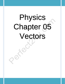# Physics Chapter 05 Vectors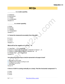# **MCQs**

#### **\_\_\_\_\_\_\_\_\_\_\_ is a scalar quantity.**

A: Distance B: Momentum C: Torque D: Acceleration

Answer: B

#### **\_\_\_\_\_\_\_\_\_ is a vector quantity.**

A: Work B: Density C: Velocity D: Temperature Answer: C

#### **A: Cannot be measured accurately from this data**

B: 3.2 m C: 4.6 m D: 2.3 m Answer: A

#### **What will be the negative of a vector →A**

A: Less than  $\rightarrow$  A in magnitude

B: Equal in magnitude but opposite in direction to that of  $\rightarrow$  A

C: Equal in magnitude but same in direction as  $\rightarrow$  A

D: Greater than  $\rightarrow$  A in magnitude

Answer: B

#### How will a force of 20 N acting on a body be represented on the page of a book?

A: 20 N force of some shape B: A line of specific length according to scale C: Cannot be represented D: 20 N weight Answer: B

#### **A force of 100 N is acting vertically on a body. Find the horizontal component F x**

A: Zero B: 45 N C: 45 N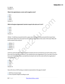D: 150 N Answer: A

#### What is the angle between a vector and its negative vector?

A: Zero B: 90 o C: 180 o D: 360 o Answer: C

#### Which of the given trigonometric function is equal to the ratio cos **θ** / sin **θ** ?

A: cot θ B: tan θ C: sec θ D: sin θ Answer: A

230 dm ^3 milk flows towards the left in a glass tube 1 m long from one end and 610 of water flows towards the right in the same tube from the other end. They meet at the center of the tube. What will be the volume of the mixture?

A: 280 dm ^3 B: 560 dm ^3  $C: 420$  dm ^3 D: 840 dm ^3 Answer: D

wo forces 12 N and 5 N are added together by head to tail rule such that force of 12 N is taken as first force and 5 N is taken as second force. The resultant force has magnitude of 13 N. If we take 5 N as first force and 12 N as second force and add them by head to tail rule then what will be the magnitude of resultant force?

A: 10 N B: 13 N C: 15 N D: 17 N Answer: B

How will a force of 20 N acting on a body be represented on the page of a book?

A: 20 N force of some shape B: A line of specific length according to scale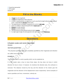# **Fill in the Blanks**

- 1. A **Scalar** has only magnitude.
- 2. A vector has magnitude as well as direction.
- 3. A vector is represented by a straight line. In such a way that its length indicates magnitude and arrow - head indicates **direction** of the vector.
- 4. The angle between rectangular components of a vector is right angle.
- 5. Vector are added or subtracted graphically by **head-to-tail** ruel.
- 6. Distance is a scalar quantity.
- 7. Velocity is a vector quantity.
- 8. The Unit of force in international system of units is newton.
- 9. In a right angle triangle, the side opposite to the right angle is called **hypotenuse.**

# **Questions**

#### **i) Explain scalar and vector quantities. Answer:**

#### **VECTOR QUANTITIES:**

"The physical quantities which are completely specified by their magnitude and direction

are called vector quantities."

#### **EXAMPLE:**

The displacement is a vector quantity which can be explained as

If a drill master asks a boy to move three steps, the boy does not know in which direction he has to move. If, however, he mentions the direction also, the confusion is removed. The distance moved by the boy and the direction of his motion give the magnitude and the direction of the displacement vector respectively. Some examples of vector quantities are force, momentum, velocity etc.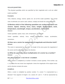#### **SCALAR QUANTITIES:**

"The physical quantities which are specified by their magnitude and a unit are called scalar quantities."

#### **Examples:**

Time, distance, energy, volume, speed, etc. are all the scalar quantities. The normal rules of arithmetic are used to add, subtract, multiply and divide the scalar quantities.

# **ii) Mention which of the following quantities are scalars and which are vectors. Speed, velocity, force, mass, weight, displacement, work, temperature, wavelength, torque, acceleration, momentum. Answer:**

Scalar quantities: speed, mass, work, temperature, wavelength.

Vector quantities: velocity, force, weight, displacement, torque, acceleration, momentum.

## **iii) How can a vector be represented in magnitude and direction both? Answer:**

The vector is represented by an arrow. The length of the arrow gives the magnitude of the vector and the arrowhead shows the direction.

## **iv) What do you know about multiplication of a vector by a number? Answer:**

#### **MULTIPLICATION OF A VECTOR BY A NUMBER:**

When a vector is multiplied by a number it remains a vector quantity. If the number, say n, is positive the new vector has magnitude n times the magnitude of the original vector and its direction remains the same.

#### **EXAMPLE:**

When a vector is multiplied by positive number: If a vector F is represented by a directed F line segment of length 2 cm, vectors  $2F$ , and  $\frac{1}{2}$  F will be represented by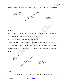

directed lines segments of length 4 cm and 1 cm respectively**,**

#### **Note:**

Note that the lines representing these vectors are parallel to one another, with their arrow-heads pointing in the same direction.

When a vector is multiplied by a negative number:

In case the vector F is multiplied by a negative number, say -n, the new vector has magnitude n times the magnitude of the original vector and direction, opposite to that of F. The vectors F, -2F and  $\frac{1}{2}$  F have been shown in the figure.

21

#### **NOTE:**

Note that the negative sign causes a reversal of the direction of the arrow-head.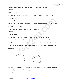# **v) Define the terms negative vector and resultant vector. Answer:**

#### **Negative Vector:**

The negative vector (-A) of a vector A is such that it has the same magnitude as that of

A but opposite direction.

#### **Resultant Vector:**

The addition of two or more vectors can be represented by a single vector, which is termed as a resultant vector.

#### **vi) Explain head to tail rule of vector addition. Answer:**

#### **Head-to-tail rule:**

To add vectors graphically we use the head-to-tail rule. Draw the representative lines of vectors A and B on a suitable scale with respect to a system of convenient reference axes. Redraw their representative lines such that the head of A coincides with the tail of B. Draw the representative lines of another vector R, from the tail of A to the head of B, as shown in the figure.



The vector R represents the resultant of A and B.This method of adding vectors is known as head-to-tail rule of vector addition.

For addition of three or more vectors: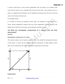In order to add three or more vectors graphically, they are drawn on a suitable scale such that the head of one coincides with the tail of the other. The resultant vector is given, in magnitude and direction, by the straight line directed from the tail of the first vector to the head of the last one.

For parallel vectors:

If a number of vectors act parallel to each other, the resultant of such vectors is a vector, whose magnitude is equal to the sum of the magnitudes of all the vectors to be added and its direction is the same as the direction of all the vectors.

# **vii) What are rectangular components of a vector? How are they determined?**

#### **Answer:**

#### **Rectangular components of a vector**

The vectors, whose sum is equal to a given vector, are called the components vectors of that vector. A vector can be resolved into two components, at right angles to each other; such components are called rectangular components of the vector.



#### **Explanation:**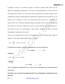Consider a vector F as shown in figure. In order to resolve that vector into its effective rectangular components, we draw two perpendiculars CA and CB from the head of the vector F to x-axis and y-axis respectively as shown in figure. Now consider two vectors represented by directed line segments OA and OB or AC as shown. OA is along the x-axis, we shall denote this vector by  $F_x$ . Similarly the vector OB or AC, having its direction along or parallel to the y-axis, is denoted by the vector Fy. The sum of vectors Fx and Fy, by the head to tail rule is equal to F, and they are also at a right angle to each other. Therefore  $F_x$  and  $F_y$  are the rectangular components of vector F.

They can be determined in terms of magnitude of F and trigonometric ratios of angle θ. In the right angle triangle OAC, we have

$$
\cos \theta = \frac{OA}{OC} \quad or \quad OA = OC \cos \theta
$$

**In the form of vector F and its components, we can write it an**

 **Fx = Fcosθ ………….. (1)**

**Similarly,**

$$
\sin \theta = \frac{AC}{OC}
$$
 or AC = OC sin  $\theta$ 

**Therefore**

 **F<sup>y</sup> = F sinθ ………..... (2)**

**Thus rectangular components of a vector can be determined by using equations** 

**(1) and (2).**

**viii) How can a vector be determined if its rectangular components are known?**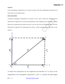#### **Answer:**

If the rectangular components of a vector are given, then the magnitude and direction of that vector can be determined.

#### **EXPLANATION:**

Consider rectangular components of a vector  $F$  as  $F_x$  and  $F_y$  which are represented by directed line segments OA and OB respectively, both magnitude and direction. Adding these two components by head-to-tail rule, we can see from the following figure that the directed line segment OC represents the vector, in both magnitude and direction of the vector F.



To derive the expressions for the magnitude and direction of F in terms of the magnitudes of the rectangular components  $F_x$  and  $F_y$ , consider the right-angled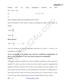triangle OAC. By using Pythagoras theorem, we have  $OC<sup>2</sup> = OA<sup>2</sup> + AC<sup>2</sup>$ 

Or 
$$
\mathsf{F}^2 = \mathsf{F}_x{}^2 + \mathsf{F}_y{}^2
$$

or

Above equation gives the magnitude of the vector F.

And the direction of that vector is given by finding the angle of the vector as follows,

$$
\tan \theta = \frac{AC}{OC}
$$

$$
tan\theta = \frac{F_y}{F_x}
$$

#### **Which gives?**

$$
\tan^{-1}\theta = \frac{F_y}{F_x} \qquad \dots \dots \dots \dots \dots (b)
$$

Thus the equations (a) and (b) completely determine the vector F in terms of its rectangular components.

# **ix) Is it possible to combine two vectors of different magnitudes to give a zero resultant? If not, can three vectors be combined? Answer:**

No, it is not possible to combine two vectors of different magnitude in order to get zero resultant. In order to get their resultant zero they should be equal in magnitude and opposite in direction. However, three vectors can be added to get zero resultant. If the three vectors are such that they can be represented by the sides of a triangle taken in cyclic order, then the vector sum of three vectors will be zero. Let three vectors A, B and